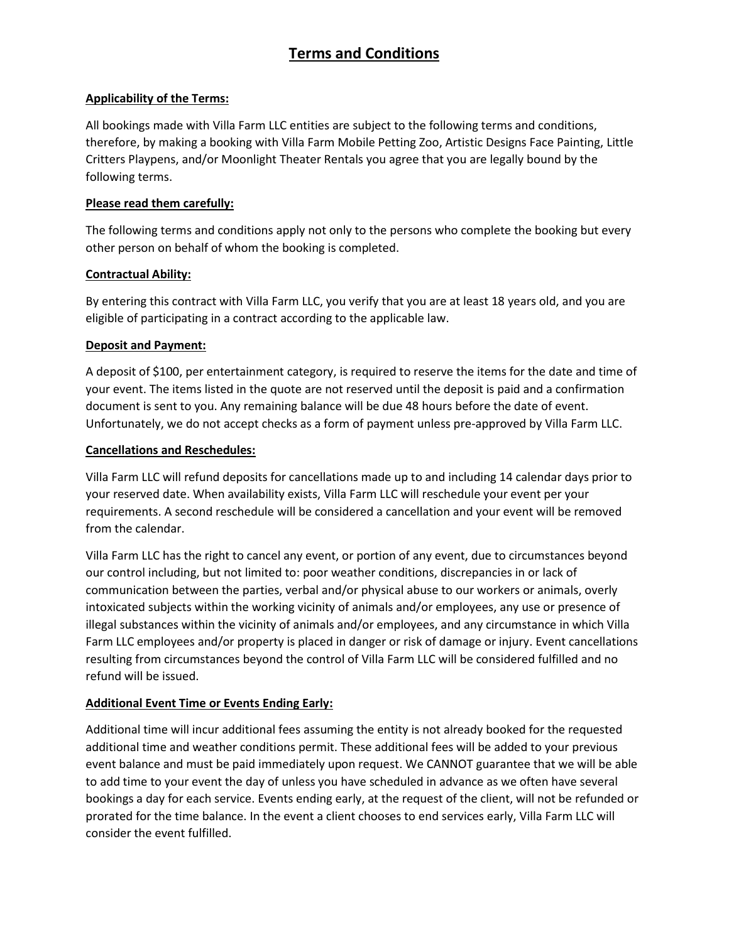# **Terms and Conditions**

## **Applicability of the Terms:**

All bookings made with Villa Farm LLC entities are subject to the following terms and conditions, therefore, by making a booking with Villa Farm Mobile Petting Zoo, Artistic Designs Face Painting, Little Critters Playpens, and/or Moonlight Theater Rentals you agree that you are legally bound by the following terms.

#### **Please read them carefully:**

The following terms and conditions apply not only to the persons who complete the booking but every other person on behalf of whom the booking is completed.

## **Contractual Ability:**

By entering this contract with Villa Farm LLC, you verify that you are at least 18 years old, and you are eligible of participating in a contract according to the applicable law.

## **Deposit and Payment:**

A deposit of \$100, per entertainment category, is required to reserve the items for the date and time of your event. The items listed in the quote are not reserved until the deposit is paid and a confirmation document is sent to you. Any remaining balance will be due 48 hours before the date of event. Unfortunately, we do not accept checks as a form of payment unless pre-approved by Villa Farm LLC.

## **Cancellations and Reschedules:**

Villa Farm LLC will refund deposits for cancellations made up to and including 14 calendar days prior to your reserved date. When availability exists, Villa Farm LLC will reschedule your event per your requirements. A second reschedule will be considered a cancellation and your event will be removed from the calendar.

Villa Farm LLC has the right to cancel any event, or portion of any event, due to circumstances beyond our control including, but not limited to: poor weather conditions, discrepancies in or lack of communication between the parties, verbal and/or physical abuse to our workers or animals, overly intoxicated subjects within the working vicinity of animals and/or employees, any use or presence of illegal substances within the vicinity of animals and/or employees, and any circumstance in which Villa Farm LLC employees and/or property is placed in danger or risk of damage or injury. Event cancellations resulting from circumstances beyond the control of Villa Farm LLC will be considered fulfilled and no refund will be issued.

## **Additional Event Time or Events Ending Early:**

Additional time will incur additional fees assuming the entity is not already booked for the requested additional time and weather conditions permit. These additional fees will be added to your previous event balance and must be paid immediately upon request. We CANNOT guarantee that we will be able to add time to your event the day of unless you have scheduled in advance as we often have several bookings a day for each service. Events ending early, at the request of the client, will not be refunded or prorated for the time balance. In the event a client chooses to end services early, Villa Farm LLC will consider the event fulfilled.